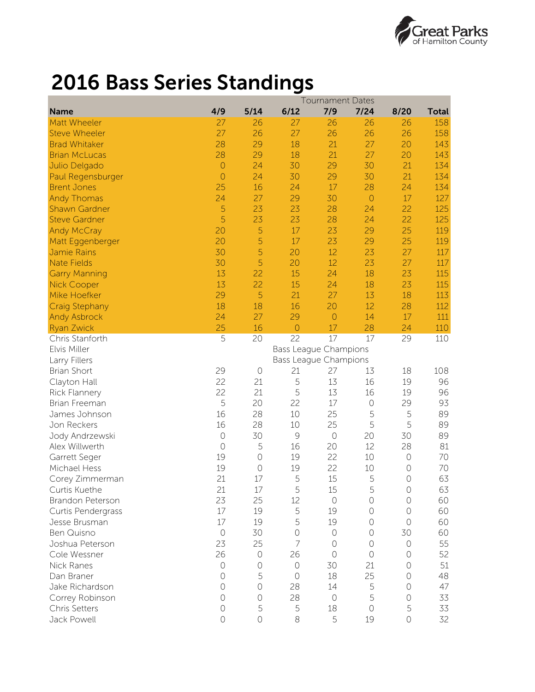

## 2016 Bass Series Standings

|                       | <b>Tournament Dates</b> |                |               |                       |                |            |              |  |  |  |  |
|-----------------------|-------------------------|----------------|---------------|-----------------------|----------------|------------|--------------|--|--|--|--|
| <b>Name</b>           | 4/9                     | 5/14           | 6/12          | 7/9                   | 7/24           | 8/20       | <b>Total</b> |  |  |  |  |
| Matt Wheeler          | 27                      | 26             | 27            | 26                    | 26             | 26         | 158          |  |  |  |  |
| <b>Steve Wheeler</b>  | 27                      | 26             | 27            | 26                    | 26             | 26         | 158          |  |  |  |  |
| <b>Brad Whitaker</b>  | 28                      | 29             | 18            | 21                    | 27             | 20         | 143          |  |  |  |  |
| <b>Brian McLucas</b>  | 28                      | 29             | 18            | 21                    | 27             | 20         | 143          |  |  |  |  |
| Julio Delgado         | $\circ$                 | 24             | 30            | 29                    | 30             | 21         | 134          |  |  |  |  |
| Paul Regensburger     | $\overline{O}$          | 24             | 30            | 29                    | 30             | 21         | 134          |  |  |  |  |
| <b>Brent Jones</b>    | 25                      | 16             | 24            | 17                    | 28             | 24         | 134          |  |  |  |  |
| <b>Andy Thomas</b>    | 24                      | 27             | 29            | 30                    | $\overline{0}$ | 17         | 127          |  |  |  |  |
| <b>Shawn Gardner</b>  | 5                       | 23             | 23            | 28                    | 24             | 22         | 125          |  |  |  |  |
| <b>Steve Gardner</b>  | 5                       | 23             | 23            | 28                    | 24             | 22         | 125          |  |  |  |  |
| Andy McCray           | 20                      | 5              | 17            | 23                    | 29             | 25         | 119          |  |  |  |  |
| Matt Eggenberger      | 20                      | 5              | 17            | 23                    | 29             | 25         | 119          |  |  |  |  |
| Jamie Rains           | 30                      | 5              | 20            | 12                    | 23             | 27         | 117          |  |  |  |  |
| <b>Nate Fields</b>    | 30                      | 5              | 20            | 12                    | 23             | 27         | 117          |  |  |  |  |
| <b>Garry Manning</b>  | 13                      | 22             | 15            | 24                    | 18             | 23         | 115          |  |  |  |  |
| <b>Nick Cooper</b>    | 13                      | 22             | 15            | 24                    | 18             | 23         | 115          |  |  |  |  |
| Mike Hoefker          | 29                      | 5              | 21            | 27                    | 13             | 18         | 113          |  |  |  |  |
| <b>Craig Stephany</b> | 18                      | 18             | 16            | 20                    | 12             | 28         | 112          |  |  |  |  |
| <b>Andy Asbrock</b>   | 24                      | 27             | 29            | $\circ$               | 14             | 17         | 111          |  |  |  |  |
| <b>Ryan Zwick</b>     | 25                      | 16             | $\circ$       | 17                    | 28             | 24         | 110          |  |  |  |  |
| Chris Stanforth       | 5                       | 20             | 22            | 17                    | 17             | 29         | 110          |  |  |  |  |
| Elvis Miller          |                         |                |               | Bass League Champions |                |            |              |  |  |  |  |
| Larry Fillers         |                         |                |               | Bass League Champions |                |            |              |  |  |  |  |
| <b>Brian Short</b>    | 29                      | $\circ$        | 21            | 27                    | 13             | 18         | 108          |  |  |  |  |
| Clayton Hall          | 22                      | 21             | 5             | 13                    | 16             | 19         | 96           |  |  |  |  |
| Rick Flannery         | 22                      | 21             | 5             | 13                    | 16             | 19         | 96           |  |  |  |  |
| Brian Freeman         | 5                       | 20             | 22            | 17                    | $\bigcirc$     | 29         | 93           |  |  |  |  |
| James Johnson         | 16                      | 28             | 10            | 25                    | 5              | 5          | 89           |  |  |  |  |
| Jon Reckers           | 16                      | 28             | 10            | 25                    | 5              | 5          | 89           |  |  |  |  |
| Jody Andrzewski       | $\bigcirc$              | 30             | $\mathcal{G}$ | $\bigcirc$            | 20             | 30         | 89           |  |  |  |  |
| Alex Willwerth        | $\bigcirc$              | 5              | 16            | 20                    | 12             | 28         | 81           |  |  |  |  |
| Garrett Seger         | 19                      | $\bigcirc$     | 19            | 22                    | 10             | $\bigcirc$ | 70           |  |  |  |  |
| Michael Hess          | 19                      | $\bigcirc$     | 19            | 22                    | 10             | $\bigcirc$ | 70           |  |  |  |  |
| Corey Zimmerman       | 21                      | 17             | 5             | 15                    | 5              | $\circ$    | 63           |  |  |  |  |
| Curtis Kuethe         | 21                      | 17             | 5             | 15                    | 5              | $\bigcirc$ | 63           |  |  |  |  |
| Brandon Peterson      | 23                      | 25             | 12            | $\circ$               | $\bigcirc$     | $\circ$    | 60           |  |  |  |  |
| Curtis Pendergrass    | $17\,$                  | 19             | 5             | 19                    | $\bigcirc$     | $\circ$    | 60           |  |  |  |  |
| Jesse Brusman         | 17                      | 19             | 5             | 19                    | $\bigcirc$     | $\bigcirc$ | 60           |  |  |  |  |
| Ben Quisno            | $\circ$                 | 30             | $\bigcirc$    | $\circ$               | $\bigcirc$     | 30         | 60           |  |  |  |  |
| Joshua Peterson       | 23                      | 25             | 7             | $\bigcirc$            | $\bigcirc$     | $\circ$    | 55           |  |  |  |  |
| Cole Wessner          | 26                      | $\circ$        | 26            | $\circ$               | $\bigcirc$     | $\circ$    | 52           |  |  |  |  |
| Nick Ranes            | $\circ$                 | $\circ$        | $\bigcirc$    | 30                    | 21             | $\Omega$   | 51           |  |  |  |  |
| Dan Braner            | $\circ$                 | 5              | $\circ$       | 18                    | 25             | $\bigcirc$ | 48           |  |  |  |  |
| Jake Richardson       | $\circ$                 | $\circ$        | 28            | 14                    | 5              | $\circ$    | 47           |  |  |  |  |
| Correy Robinson       | $\circ$                 | $\circ$        | 28            | $\bigcirc$            | 5              | $\circ$    | 33           |  |  |  |  |
| Chris Setters         | $\bigcirc$              | 5              | 5             | 18                    | $\bigcirc$     | 5          | 33           |  |  |  |  |
| Jack Powell           | $\circ$                 | $\overline{O}$ | $\,8\,$       | 5                     | 19             | $\circ$    | 32           |  |  |  |  |